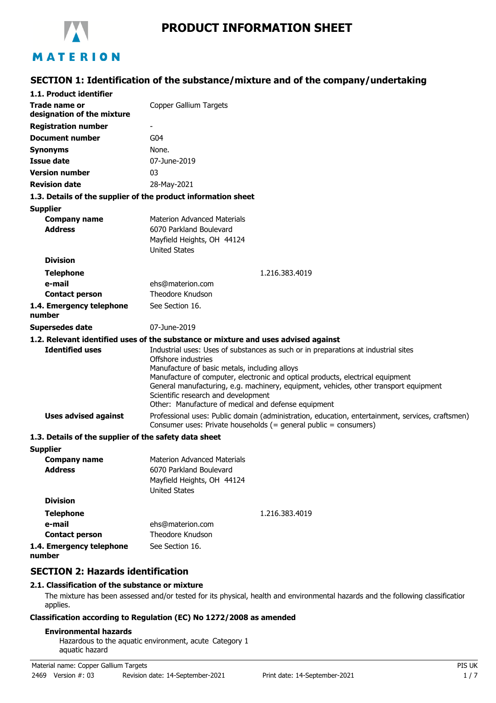

# **PRODUCT INFORMATION SHEET**

## **SECTION 1: Identification of the substance/mixture and of the company/undertaking**

| 1.1. Product identifier                                       |                                                                                                                                                                                                                                                                                                                                                                                                                                     |
|---------------------------------------------------------------|-------------------------------------------------------------------------------------------------------------------------------------------------------------------------------------------------------------------------------------------------------------------------------------------------------------------------------------------------------------------------------------------------------------------------------------|
| Trade name or<br>designation of the mixture                   | Copper Gallium Targets                                                                                                                                                                                                                                                                                                                                                                                                              |
| <b>Registration number</b>                                    |                                                                                                                                                                                                                                                                                                                                                                                                                                     |
| <b>Document number</b>                                        | G <sub>04</sub>                                                                                                                                                                                                                                                                                                                                                                                                                     |
| <b>Synonyms</b>                                               | None.                                                                                                                                                                                                                                                                                                                                                                                                                               |
| <b>Issue date</b>                                             | 07-June-2019                                                                                                                                                                                                                                                                                                                                                                                                                        |
| <b>Version number</b>                                         | 03                                                                                                                                                                                                                                                                                                                                                                                                                                  |
| <b>Revision date</b>                                          | 28-May-2021                                                                                                                                                                                                                                                                                                                                                                                                                         |
| 1.3. Details of the supplier of the product information sheet |                                                                                                                                                                                                                                                                                                                                                                                                                                     |
| <b>Supplier</b>                                               |                                                                                                                                                                                                                                                                                                                                                                                                                                     |
| <b>Company name</b><br><b>Address</b>                         | <b>Materion Advanced Materials</b><br>6070 Parkland Boulevard<br>Mayfield Heights, OH 44124<br><b>United States</b>                                                                                                                                                                                                                                                                                                                 |
| <b>Division</b>                                               |                                                                                                                                                                                                                                                                                                                                                                                                                                     |
| <b>Telephone</b>                                              | 1.216.383.4019                                                                                                                                                                                                                                                                                                                                                                                                                      |
| e-mail                                                        | ehs@materion.com                                                                                                                                                                                                                                                                                                                                                                                                                    |
| <b>Contact person</b>                                         | Theodore Knudson                                                                                                                                                                                                                                                                                                                                                                                                                    |
| 1.4. Emergency telephone<br>number                            | See Section 16.                                                                                                                                                                                                                                                                                                                                                                                                                     |
| <b>Supersedes date</b>                                        | 07-June-2019                                                                                                                                                                                                                                                                                                                                                                                                                        |
|                                                               | 1.2. Relevant identified uses of the substance or mixture and uses advised against                                                                                                                                                                                                                                                                                                                                                  |
| <b>Identified uses</b>                                        | Industrial uses: Uses of substances as such or in preparations at industrial sites<br>Offshore industries<br>Manufacture of basic metals, including alloys<br>Manufacture of computer, electronic and optical products, electrical equipment<br>General manufacturing, e.g. machinery, equipment, vehicles, other transport equipment<br>Scientific research and development<br>Other: Manufacture of medical and defense equipment |
| <b>Uses advised against</b>                                   | Professional uses: Public domain (administration, education, entertainment, services, craftsmen)<br>Consumer uses: Private households (= general public = consumers)                                                                                                                                                                                                                                                                |
| 1.3. Details of the supplier of the safety data sheet         |                                                                                                                                                                                                                                                                                                                                                                                                                                     |
| <b>Supplier</b>                                               |                                                                                                                                                                                                                                                                                                                                                                                                                                     |
| <b>Company name</b><br><b>Address</b>                         | <b>Materion Advanced Materials</b><br>6070 Parkland Boulevard<br>Mayfield Heights, OH 44124<br><b>United States</b>                                                                                                                                                                                                                                                                                                                 |
| <b>Division</b>                                               |                                                                                                                                                                                                                                                                                                                                                                                                                                     |
| <b>Telephone</b>                                              | 1.216.383.4019                                                                                                                                                                                                                                                                                                                                                                                                                      |
| e-mail                                                        | ehs@materion.com                                                                                                                                                                                                                                                                                                                                                                                                                    |

**1.4. Emergency telephone number**

**Contact person**

## **SECTION 2: Hazards identification**

### **2.1. Classification of the substance or mixture**

The mixture has been assessed and/or tested for its physical, health and environmental hazards and the following classification applies.

### **Classification according to Regulation (EC) No 1272/2008 as amended**

Theodore Knudson

See Section 16.

#### **Environmental hazards**

Hazardous to the aquatic environment, acute Category 1 aquatic hazard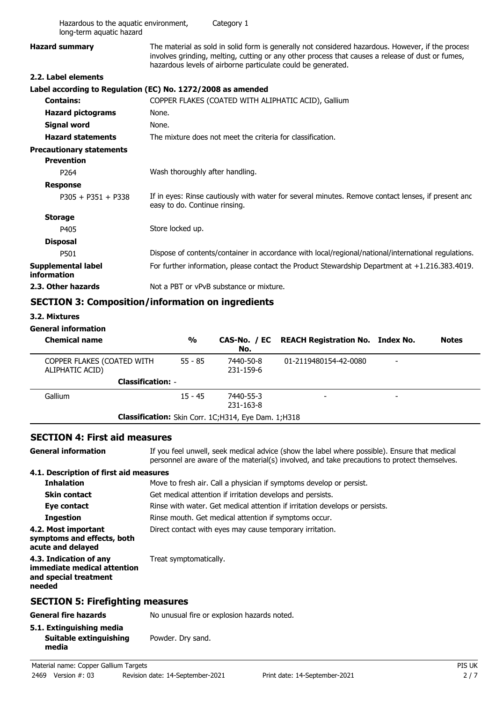| Hazardous to the aquatic environment,<br>long-term aquatic hazard |                                                     | Category 1                                                 |                                                                                                                                                                                                                                                                       |              |
|-------------------------------------------------------------------|-----------------------------------------------------|------------------------------------------------------------|-----------------------------------------------------------------------------------------------------------------------------------------------------------------------------------------------------------------------------------------------------------------------|--------------|
| <b>Hazard summary</b>                                             |                                                     |                                                            | The material as sold in solid form is generally not considered hazardous. However, if the process<br>involves grinding, melting, cutting or any other process that causes a release of dust or fumes,<br>hazardous levels of airborne particulate could be generated. |              |
| 2.2. Label elements                                               |                                                     |                                                            |                                                                                                                                                                                                                                                                       |              |
| Label according to Regulation (EC) No. 1272/2008 as amended       |                                                     |                                                            |                                                                                                                                                                                                                                                                       |              |
| <b>Contains:</b>                                                  |                                                     |                                                            | COPPER FLAKES (COATED WITH ALIPHATIC ACID), Gallium                                                                                                                                                                                                                   |              |
| <b>Hazard pictograms</b>                                          | None.                                               |                                                            |                                                                                                                                                                                                                                                                       |              |
| <b>Signal word</b>                                                | None.                                               |                                                            |                                                                                                                                                                                                                                                                       |              |
| <b>Hazard statements</b>                                          |                                                     | The mixture does not meet the criteria for classification. |                                                                                                                                                                                                                                                                       |              |
| <b>Precautionary statements</b><br><b>Prevention</b>              |                                                     |                                                            |                                                                                                                                                                                                                                                                       |              |
| P <sub>264</sub>                                                  | Wash thoroughly after handling.                     |                                                            |                                                                                                                                                                                                                                                                       |              |
| <b>Response</b>                                                   |                                                     |                                                            |                                                                                                                                                                                                                                                                       |              |
| $P305 + P351 + P338$                                              | easy to do. Continue rinsing.                       |                                                            | If in eyes: Rinse cautiously with water for several minutes. Remove contact lenses, if present and                                                                                                                                                                    |              |
| <b>Storage</b>                                                    |                                                     |                                                            |                                                                                                                                                                                                                                                                       |              |
| P405                                                              | Store locked up.                                    |                                                            |                                                                                                                                                                                                                                                                       |              |
| <b>Disposal</b>                                                   |                                                     |                                                            |                                                                                                                                                                                                                                                                       |              |
| P501                                                              |                                                     |                                                            | Dispose of contents/container in accordance with local/regional/national/international regulations.                                                                                                                                                                   |              |
| <b>Supplemental label</b><br>information                          |                                                     |                                                            | For further information, please contact the Product Stewardship Department at +1.216.383.4019.                                                                                                                                                                        |              |
| 2.3. Other hazards                                                |                                                     | Not a PBT or vPvB substance or mixture.                    |                                                                                                                                                                                                                                                                       |              |
| <b>SECTION 3: Composition/information on ingredients</b>          |                                                     |                                                            |                                                                                                                                                                                                                                                                       |              |
| 3.2. Mixtures                                                     |                                                     |                                                            |                                                                                                                                                                                                                                                                       |              |
| <b>General information</b>                                        |                                                     |                                                            |                                                                                                                                                                                                                                                                       |              |
| <b>Chemical name</b>                                              | $\frac{0}{0}$                                       | CAS-No. / EC<br>No.                                        | <b>REACH Registration No. Index No.</b>                                                                                                                                                                                                                               | <b>Notes</b> |
| COPPER FLAKES (COATED WITH<br>ALIPHATIC ACID)                     | $55 - 85$                                           | 7440-50-8<br>231-159-6                                     | 01-2119480154-42-0080                                                                                                                                                                                                                                                 |              |
|                                                                   | <b>Classification: -</b>                            |                                                            |                                                                                                                                                                                                                                                                       |              |
| Gallium                                                           | $15 - 45$                                           | 7440-55-3<br>231-163-8                                     |                                                                                                                                                                                                                                                                       |              |
|                                                                   | Classification: Skin Corr. 1C;H314, Eye Dam. 1;H318 |                                                            |                                                                                                                                                                                                                                                                       |              |

### **SECTION 4: First aid measures**

If you feel unwell, seek medical advice (show the label where possible). Ensure that medical personnel are aware of the material(s) involved, and take precautions to protect themselves. **General information 4.1. Description of first aid measures Inhalation** Move to fresh air. Call a physician if symptoms develop or persist. **Skin contact** Get medical attention if irritation develops and persists. **Eye contact** Rinse with water. Get medical attention if irritation develops or persists. **Ingestion** Rinse mouth. Get medical attention if symptoms occur. **4.2. Most important** Direct contact with eyes may cause temporary irritation. **symptoms and effects, both acute and delayed 4.3. Indication of any** Treat symptomatically. **immediate medical attention and special treatment needed SECTION 5: Firefighting measures General fire hazards** No unusual fire or explosion hazards noted. **5.1. Extinguishing media Suitable extinguishing** Powder. Dry sand.

**media**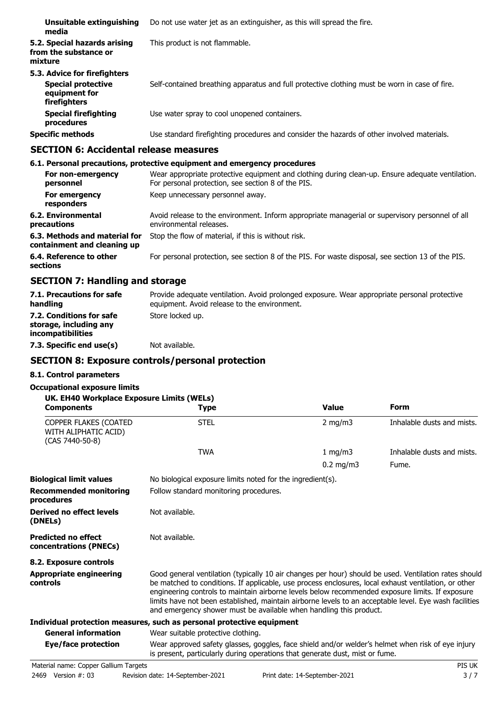| Unsuitable extinguishing<br>media                                                          | Do not use water jet as an extinguisher, as this will spread the fire.                        |
|--------------------------------------------------------------------------------------------|-----------------------------------------------------------------------------------------------|
| 5.2. Special hazards arising<br>from the substance or<br>mixture                           | This product is not flammable.                                                                |
| 5.3. Advice for firefighters<br><b>Special protective</b><br>equipment for<br>firefighters | Self-contained breathing apparatus and full protective clothing must be worn in case of fire. |
| <b>Special firefighting</b><br>procedures                                                  | Use water spray to cool unopened containers.                                                  |
| <b>Specific methods</b>                                                                    | Use standard firefighting procedures and consider the hazards of other involved materials.    |

### **SECTION 6: Accidental release measures**

#### **6.1. Personal precautions, protective equipment and emergency procedures** Wear appropriate protective equipment and clothing during clean-up. Ensure adequate ventilation. For personal protection, see section 8 of the PIS. **For non-emergency personnel For emergency Keep unnecessary personnel away. responders** Avoid release to the environment. Inform appropriate managerial or supervisory personnel of all environmental releases. **6.2. Environmental precautions 6.3. Methods and material for** Stop the flow of material, if this is without risk. **containment and cleaning up 6.4. Reference to other** For personal protection, see section 8 of the PIS. For waste disposal, see section 13 of the PIS. **sections**

## **SECTION 7: Handling and storage**

| 7.1. Precautions for safe<br>handling                                          | Provide adequate ventilation. Avoid prolonged exposure. Wear appropriate personal protective<br>equipment. Avoid release to the environment. |
|--------------------------------------------------------------------------------|----------------------------------------------------------------------------------------------------------------------------------------------|
| 7.2. Conditions for safe<br>storage, including any<br><i>incompatibilities</i> | Store locked up.                                                                                                                             |
| 7.3. Specific end use(s)                                                       | Not available.                                                                                                                               |

## **SECTION 8: Exposure controls/personal protection**

### **8.1. Control parameters**

### **Occupational exposure limits**

| UK. EH40 Workplace Exposure Limits (WELs)<br><b>Components</b>     | <b>Type</b>                                                                                                                                                                                                                       | <b>Value</b>       | <b>Form</b>                |
|--------------------------------------------------------------------|-----------------------------------------------------------------------------------------------------------------------------------------------------------------------------------------------------------------------------------|--------------------|----------------------------|
| COPPER FLAKES (COATED<br>WITH ALIPHATIC ACID)<br>$(CAS 7440-50-8)$ | <b>STEL</b>                                                                                                                                                                                                                       | $2 \text{ mg/m}$   | Inhalable dusts and mists. |
|                                                                    | <b>TWA</b>                                                                                                                                                                                                                        | 1 $mq/m3$          | Inhalable dusts and mists. |
|                                                                    |                                                                                                                                                                                                                                   | $0.2 \text{ mg/m}$ | Fume.                      |
| .                                                                  | $\mathbf{M}$ . The contract of the contract of the contract of the contract of the contract of the contract of the contract of the contract of the contract of the contract of the contract of the contract of the contract of th |                    |                            |

| <b>Biological limit values</b>                       | No biological exposure limits noted for the ingredient(s).                                                                                                                                                                                                                                                                                                                                                                                                                                       |
|------------------------------------------------------|--------------------------------------------------------------------------------------------------------------------------------------------------------------------------------------------------------------------------------------------------------------------------------------------------------------------------------------------------------------------------------------------------------------------------------------------------------------------------------------------------|
| <b>Recommended monitoring</b><br>procedures          | Follow standard monitoring procedures.                                                                                                                                                                                                                                                                                                                                                                                                                                                           |
| Derived no effect levels<br>(DNELs)                  | Not available.                                                                                                                                                                                                                                                                                                                                                                                                                                                                                   |
| <b>Predicted no effect</b><br>concentrations (PNECs) | Not available.                                                                                                                                                                                                                                                                                                                                                                                                                                                                                   |
| 8.2. Exposure controls                               |                                                                                                                                                                                                                                                                                                                                                                                                                                                                                                  |
| <b>Appropriate engineering</b><br>controls           | Good general ventilation (typically 10 air changes per hour) should be used. Ventilation rates should<br>be matched to conditions. If applicable, use process enclosures, local exhaust ventilation, or other<br>engineering controls to maintain airborne levels below recommended exposure limits. If exposure<br>limits have not been established, maintain airborne levels to an acceptable level. Eye wash facilities<br>and emergency shower must be available when handling this product. |
|                                                      | Individual protection measures, such as personal protective equipment                                                                                                                                                                                                                                                                                                                                                                                                                            |
| <b>General information</b>                           | Wear suitable protective clothing.                                                                                                                                                                                                                                                                                                                                                                                                                                                               |
| Eye/face protection                                  | Wear approved safety glasses, goggles, face shield and/or welder's helmet when risk of eye injury<br>is present, particularly during operations that generate dust, mist or fume.                                                                                                                                                                                                                                                                                                                |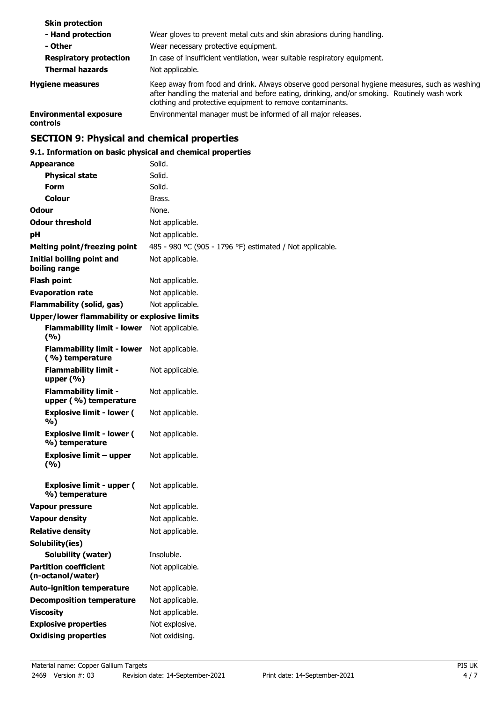| <b>Skin protection</b>                                  |                                                                                                                                                                                                                                                            |
|---------------------------------------------------------|------------------------------------------------------------------------------------------------------------------------------------------------------------------------------------------------------------------------------------------------------------|
| - Hand protection                                       | Wear gloves to prevent metal cuts and skin abrasions during handling.                                                                                                                                                                                      |
| - Other                                                 | Wear necessary protective equipment.                                                                                                                                                                                                                       |
| <b>Respiratory protection</b><br><b>Thermal hazards</b> | In case of insufficient ventilation, wear suitable respiratory equipment.<br>Not applicable.                                                                                                                                                               |
| <b>Hygiene measures</b>                                 | Keep away from food and drink. Always observe good personal hygiene measures, such as washing<br>after handling the material and before eating, drinking, and/or smoking. Routinely wash work<br>clothing and protective equipment to remove contaminants. |
| <b>Environmental exposure</b><br>controls               | Environmental manager must be informed of all major releases.                                                                                                                                                                                              |

## **SECTION 9: Physical and chemical properties**

## **9.1. Information on basic physical and chemical properties**

| <b>Appearance</b>                                    | Solid.                                                   |
|------------------------------------------------------|----------------------------------------------------------|
| <b>Physical state</b>                                | Solid.                                                   |
| <b>Form</b>                                          | Solid.                                                   |
| Colour                                               | Brass.                                                   |
| Odour                                                | None.                                                    |
| <b>Odour threshold</b>                               | Not applicable.                                          |
| рH                                                   | Not applicable.                                          |
| <b>Melting point/freezing point</b>                  | 485 - 980 °C (905 - 1796 °F) estimated / Not applicable. |
| <b>Initial boiling point and</b><br>boiling range    | Not applicable.                                          |
| <b>Flash point</b>                                   | Not applicable.                                          |
| <b>Evaporation rate</b>                              | Not applicable.                                          |
| <b>Flammability (solid, gas)</b>                     | Not applicable.                                          |
| <b>Upper/lower flammability or explosive limits</b>  |                                                          |
| <b>Flammability limit - lower</b><br>(9/6)           | Not applicable.                                          |
| <b>Flammability limit - lower</b><br>(%) temperature | Not applicable.                                          |
| <b>Flammability limit -</b><br>upper $(\% )$         | Not applicable.                                          |
| <b>Flammability limit -</b><br>upper (%) temperature | Not applicable.                                          |
| <b>Explosive limit - lower (</b><br>%)               | Not applicable.                                          |
| <b>Explosive limit - lower (</b><br>%) temperature   | Not applicable.                                          |
| <b>Explosive limit - upper</b><br>(%)                | Not applicable.                                          |
| <b>Explosive limit - upper (</b><br>%) temperature   | Not applicable.                                          |
| Vapour pressure                                      | Not applicable.                                          |
| <b>Vapour density</b>                                | Not applicable.                                          |
| <b>Relative density</b>                              | Not applicable.                                          |
| Solubility(ies)                                      |                                                          |
| <b>Solubility (water)</b>                            | Insoluble.                                               |
| <b>Partition coefficient</b><br>(n-octanol/water)    | Not applicable.                                          |
| <b>Auto-ignition temperature</b>                     | Not applicable.                                          |
| <b>Decomposition temperature</b>                     | Not applicable.                                          |
| <b>Viscosity</b>                                     | Not applicable.                                          |
| <b>Explosive properties</b>                          | Not explosive.                                           |
| <b>Oxidising properties</b>                          | Not oxidising.                                           |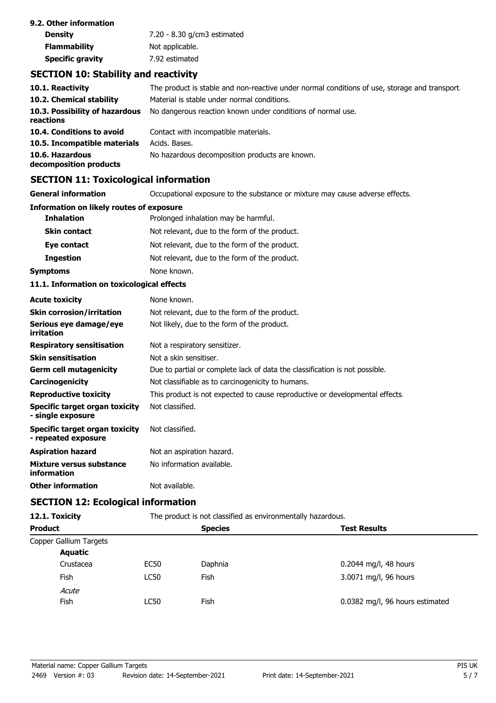| 9.2. Other information  |                             |
|-------------------------|-----------------------------|
| <b>Density</b>          | 7.20 - 8.30 g/cm3 estimated |
| <b>Flammability</b>     | Not applicable.             |
| <b>Specific gravity</b> | 7.92 estimated              |

## **SECTION 10: Stability and reactivity**

| 10.1. Reactivity                            | The product is stable and non-reactive under normal conditions of use, storage and transport. |
|---------------------------------------------|-----------------------------------------------------------------------------------------------|
| 10.2. Chemical stability                    | Material is stable under normal conditions.                                                   |
| 10.3. Possibility of hazardous<br>reactions | No dangerous reaction known under conditions of normal use.                                   |
| 10.4. Conditions to avoid                   | Contact with incompatible materials.                                                          |
| 10.5. Incompatible materials                | Acids. Bases.                                                                                 |
| 10.6. Hazardous<br>decomposition products   | No hazardous decomposition products are known.                                                |

## **SECTION 11: Toxicological information**

**General information CCCUPATION** Occupational exposure to the substance or mixture may cause adverse effects.

| Information on likely routes of exposure |                                               |  |
|------------------------------------------|-----------------------------------------------|--|
| <b>Inhalation</b>                        | Prolonged inhalation may be harmful.          |  |
| <b>Skin contact</b>                      | Not relevant, due to the form of the product. |  |
| Eye contact                              | Not relevant, due to the form of the product. |  |
| <b>Ingestion</b>                         | Not relevant, due to the form of the product. |  |
| <b>Symptoms</b>                          | None known.                                   |  |
|                                          |                                               |  |

### **11.1. Information on toxicological effects**

| <b>Acute toxicity</b>                                 | None known.                                                                  |
|-------------------------------------------------------|------------------------------------------------------------------------------|
| <b>Skin corrosion/irritation</b>                      | Not relevant, due to the form of the product.                                |
| Serious eye damage/eye<br>irritation                  | Not likely, due to the form of the product.                                  |
| <b>Respiratory sensitisation</b>                      | Not a respiratory sensitizer.                                                |
| <b>Skin sensitisation</b>                             | Not a skin sensitiser.                                                       |
| <b>Germ cell mutagenicity</b>                         | Due to partial or complete lack of data the classification is not possible.  |
| <b>Carcinogenicity</b>                                | Not classifiable as to carcinogenicity to humans.                            |
| <b>Reproductive toxicity</b>                          | This product is not expected to cause reproductive or developmental effects. |
| Specific target organ toxicity<br>- single exposure   | Not classified.                                                              |
| Specific target organ toxicity<br>- repeated exposure | Not classified.                                                              |
| <b>Aspiration hazard</b>                              | Not an aspiration hazard.                                                    |
| Mixture versus substance<br>information               | No information available.                                                    |
| <b>Other information</b>                              | Not available.                                                               |

## **SECTION 12: Ecological information**

| 12.1. Toxicity         | The product is not classified as environmentally hazardous. |         |                                 |  |
|------------------------|-------------------------------------------------------------|---------|---------------------------------|--|
| <b>Product</b>         | <b>Species</b>                                              |         | <b>Test Results</b>             |  |
| Copper Gallium Targets |                                                             |         |                                 |  |
| Aquatic                |                                                             |         |                                 |  |
| Crustacea              | EC50                                                        | Daphnia | $0.2044$ mg/l, 48 hours         |  |
| Fish                   | LC50                                                        | Fish    | 3.0071 mg/l, 96 hours           |  |
| Acute                  |                                                             |         |                                 |  |
| Fish                   | LC50                                                        | Fish    | 0.0382 mg/l, 96 hours estimated |  |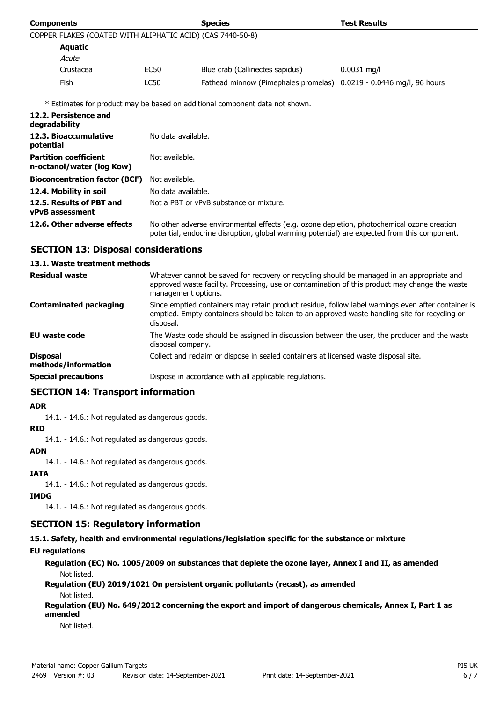| <b>Components</b>                                          |                                                                                                                                                                                            | <b>Species</b>                                                               | <b>Test Results</b> |
|------------------------------------------------------------|--------------------------------------------------------------------------------------------------------------------------------------------------------------------------------------------|------------------------------------------------------------------------------|---------------------|
| COPPER FLAKES (COATED WITH ALIPHATIC ACID) (CAS 7440-50-8) |                                                                                                                                                                                            |                                                                              |                     |
| <b>Aquatic</b>                                             |                                                                                                                                                                                            |                                                                              |                     |
| Acute                                                      |                                                                                                                                                                                            |                                                                              |                     |
| Crustacea                                                  | EC50                                                                                                                                                                                       | Blue crab (Callinectes sapidus)                                              | $0.0031$ mg/l       |
| <b>Fish</b>                                                | <b>LC50</b>                                                                                                                                                                                | Fathead minnow (Pimephales promelas) 0.0219 - 0.0446 mg/l, 96 hours          |                     |
|                                                            |                                                                                                                                                                                            | * Estimates for product may be based on additional component data not shown. |                     |
| 12.2. Persistence and<br>degradability                     |                                                                                                                                                                                            |                                                                              |                     |
| 12.3. Bioaccumulative<br>potential                         | No data available.                                                                                                                                                                         |                                                                              |                     |
| <b>Partition coefficient</b><br>n-octanol/water (log Kow)  | Not available.                                                                                                                                                                             |                                                                              |                     |
| <b>Bioconcentration factor (BCF)</b>                       | Not available.                                                                                                                                                                             |                                                                              |                     |
| 12.4. Mobility in soil                                     | No data available.                                                                                                                                                                         |                                                                              |                     |
| 12.5. Results of PBT and<br><b>vPvB</b> assessment         | Not a PBT or vPvB substance or mixture.                                                                                                                                                    |                                                                              |                     |
| 12.6. Other adverse effects                                | No other adverse environmental effects (e.g. ozone depletion, photochemical ozone creation<br>potential, endocrine disruption, global warming potential) are expected from this component. |                                                                              |                     |

## **SECTION 13: Disposal considerations**

#### **13.1. Waste treatment methods**

| <b>Residual waste</b>                  | Whatever cannot be saved for recovery or recycling should be managed in an appropriate and<br>approved waste facility. Processing, use or contamination of this product may change the waste<br>management options. |
|----------------------------------------|---------------------------------------------------------------------------------------------------------------------------------------------------------------------------------------------------------------------|
| Contaminated packaging                 | Since emptied containers may retain product residue, follow label warnings even after container is<br>emptied. Empty containers should be taken to an approved waste handling site for recycling or<br>disposal.    |
| EU waste code                          | The Waste code should be assigned in discussion between the user, the producer and the waste<br>disposal company.                                                                                                   |
| <b>Disposal</b><br>methods/information | Collect and reclaim or dispose in sealed containers at licensed waste disposal site.                                                                                                                                |
| <b>Special precautions</b>             | Dispose in accordance with all applicable regulations.                                                                                                                                                              |

## **SECTION 14: Transport information**

### **ADR**

14.1. - 14.6.: Not regulated as dangerous goods.

#### **RID**

14.1. - 14.6.: Not regulated as dangerous goods.

#### **ADN**

14.1. - 14.6.: Not regulated as dangerous goods.

### **IATA**

14.1. - 14.6.: Not regulated as dangerous goods.

### **IMDG**

14.1. - 14.6.: Not regulated as dangerous goods.

## **SECTION 15: Regulatory information**

**15.1. Safety, health and environmental regulations/legislation specific for the substance or mixture**

## **EU regulations**

**Regulation (EC) No. 1005/2009 on substances that deplete the ozone layer, Annex I and II, as amended** Not listed.

**Regulation (EU) 2019/1021 On persistent organic pollutants (recast), as amended** Not listed.

**Regulation (EU) No. 649/2012 concerning the export and import of dangerous chemicals, Annex I, Part 1 as amended**

Not listed.